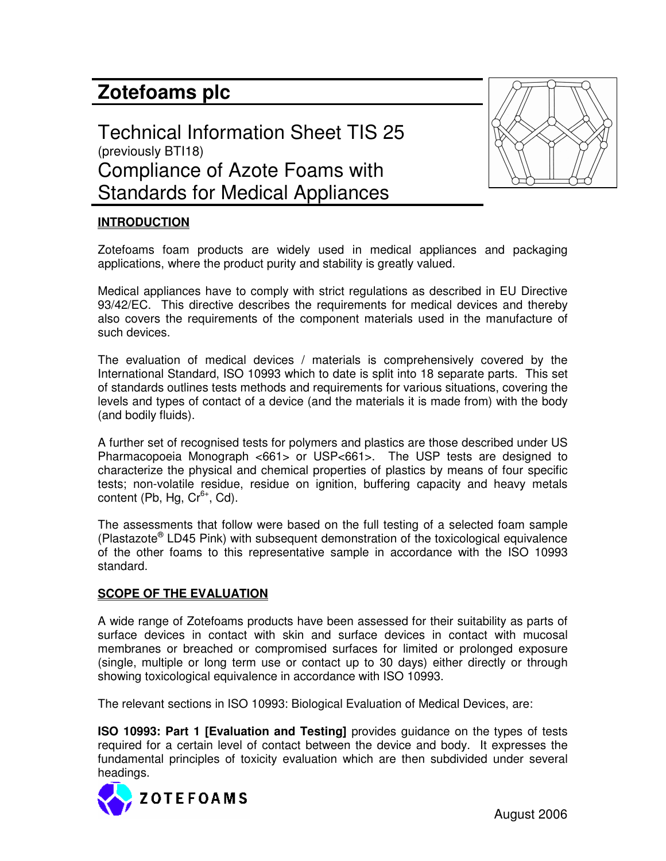# **Zotefoams plc**





## **INTRODUCTION**

Zotefoams foam products are widely used in medical appliances and packaging applications, where the product purity and stability is greatly valued.

Medical appliances have to comply with strict regulations as described in EU Directive 93/42/EC. This directive describes the requirements for medical devices and thereby also covers the requirements of the component materials used in the manufacture of such devices.

The evaluation of medical devices / materials is comprehensively covered by the International Standard, ISO 10993 which to date is split into 18 separate parts. This set of standards outlines tests methods and requirements for various situations, covering the levels and types of contact of a device (and the materials it is made from) with the body (and bodily fluids).

A further set of recognised tests for polymers and plastics are those described under US Pharmacopoeia Monograph <661> or USP<661>. The USP tests are designed to characterize the physical and chemical properties of plastics by means of four specific tests; non-volatile residue, residue on ignition, buffering capacity and heavy metals content (Pb, Hg, Cr<sup>6+</sup>, Cd).

The assessments that follow were based on the full testing of a selected foam sample (Plastazote<sup>®</sup> LD45 Pink) with subsequent demonstration of the toxicological equivalence of the other foams to this representative sample in accordance with the ISO 10993 standard.

## **SCOPE OF THE EVALUATION**

A wide range of Zotefoams products have been assessed for their suitability as parts of surface devices in contact with skin and surface devices in contact with mucosal membranes or breached or compromised surfaces for limited or prolonged exposure (single, multiple or long term use or contact up to 30 days) either directly or through showing toxicological equivalence in accordance with ISO 10993.

The relevant sections in ISO 10993: Biological Evaluation of Medical Devices, are:

**ISO 10993: Part 1 [Evaluation and Testing]** provides guidance on the types of tests required for a certain level of contact between the device and body. It expresses the fundamental principles of toxicity evaluation which are then subdivided under several headings.

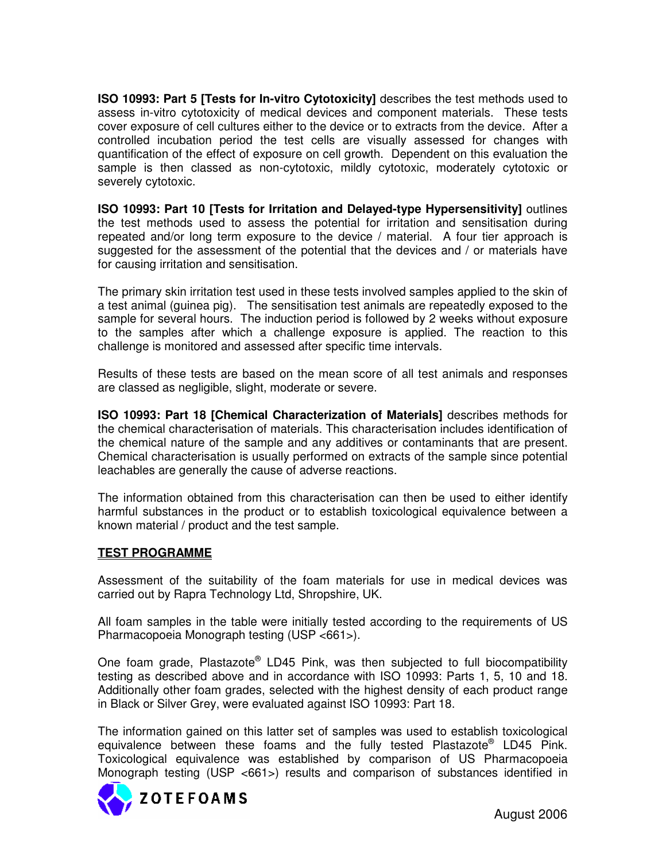**ISO 10993: Part 5 [Tests for In-vitro Cytotoxicity]** describes the test methods used to assess in-vitro cytotoxicity of medical devices and component materials. These tests cover exposure of cell cultures either to the device or to extracts from the device. After a controlled incubation period the test cells are visually assessed for changes with quantification of the effect of exposure on cell growth. Dependent on this evaluation the sample is then classed as non-cytotoxic, mildly cytotoxic, moderately cytotoxic or severely cytotoxic.

**ISO 10993: Part 10 [Tests for Irritation and Delayed-type Hypersensitivity]** outlines the test methods used to assess the potential for irritation and sensitisation during repeated and/or long term exposure to the device / material. A four tier approach is suggested for the assessment of the potential that the devices and / or materials have for causing irritation and sensitisation.

The primary skin irritation test used in these tests involved samples applied to the skin of a test animal (guinea pig). The sensitisation test animals are repeatedly exposed to the sample for several hours. The induction period is followed by 2 weeks without exposure to the samples after which a challenge exposure is applied. The reaction to this challenge is monitored and assessed after specific time intervals.

Results of these tests are based on the mean score of all test animals and responses are classed as negligible, slight, moderate or severe.

**ISO 10993: Part 18 [Chemical Characterization of Materials]** describes methods for the chemical characterisation of materials. This characterisation includes identification of the chemical nature of the sample and any additives or contaminants that are present. Chemical characterisation is usually performed on extracts of the sample since potential leachables are generally the cause of adverse reactions.

The information obtained from this characterisation can then be used to either identify harmful substances in the product or to establish toxicological equivalence between a known material / product and the test sample.

## **TEST PROGRAMME**

Assessment of the suitability of the foam materials for use in medical devices was carried out by Rapra Technology Ltd, Shropshire, UK.

All foam samples in the table were initially tested according to the requirements of US Pharmacopoeia Monograph testing (USP <661>).

One foam grade, Plastazote® LD45 Pink, was then subjected to full biocompatibility testing as described above and in accordance with ISO 10993: Parts 1, 5, 10 and 18. Additionally other foam grades, selected with the highest density of each product range in Black or Silver Grey, were evaluated against ISO 10993: Part 18.

The information gained on this latter set of samples was used to establish toxicological equivalence between these foams and the fully tested Plastazote® LD45 Pink. Toxicological equivalence was established by comparison of US Pharmacopoeia Monograph testing (USP <661>) results and comparison of substances identified in

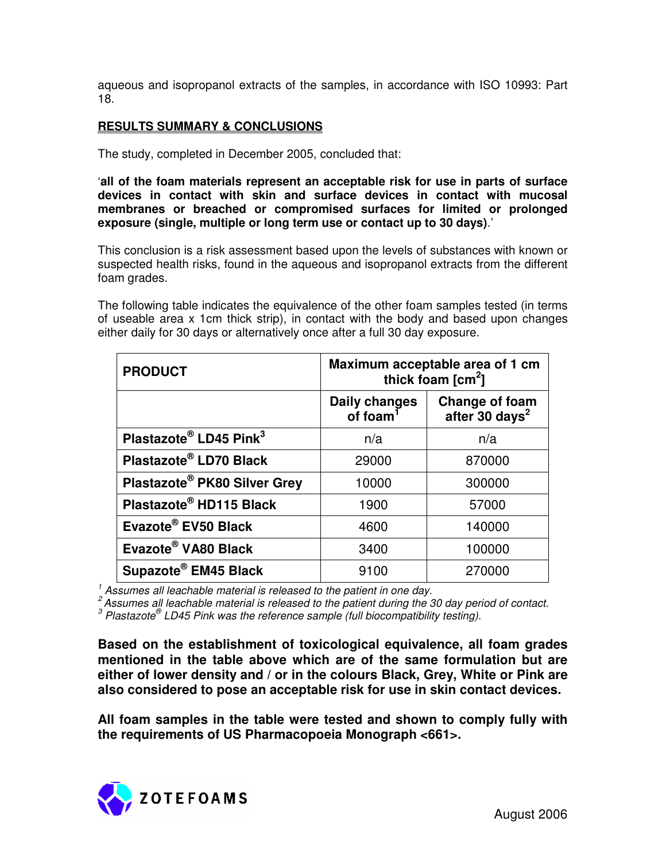aqueous and isopropanol extracts of the samples, in accordance with ISO 10993: Part 18.

#### **RESULTS SUMMARY & CONCLUSIONS**

The study, completed in December 2005, concluded that:

'**all of the foam materials represent an acceptable risk for use in parts of surface devices in contact with skin and surface devices in contact with mucosal membranes or breached or compromised surfaces for limited or prolonged exposure (single, multiple or long term use or contact up to 30 days)**.'

This conclusion is a risk assessment based upon the levels of substances with known or suspected health risks, found in the aqueous and isopropanol extracts from the different foam grades.

The following table indicates the equivalence of the other foam samples tested (in terms of useable area x 1cm thick strip), in contact with the body and based upon changes either daily for 30 days or alternatively once after a full 30 day exposure.

| <b>PRODUCT</b>                     | Maximum acceptable area of 1 cm<br>thick foam $\text{[cm}^2$ ] |                                              |
|------------------------------------|----------------------------------------------------------------|----------------------------------------------|
|                                    | <b>Daily changes</b><br>of foam <sup>1</sup>                   | Change of foam<br>after 30 days <sup>2</sup> |
| Plastazote® LD45 Pink <sup>3</sup> | n/a                                                            | n/a                                          |
| Plastazote® LD70 Black             | 29000                                                          | 870000                                       |
| Plastazote® PK80 Silver Grey       | 10000                                                          | 300000                                       |
| Plastazote® HD115 Black            | 1900                                                           | 57000                                        |
| Evazote® EV50 Black                | 4600                                                           | 140000                                       |
| Evazote® VA80 Black                | 3400                                                           | 100000                                       |
| Supazote <sup>®</sup> EM45 Black   | 9100                                                           | 270000                                       |

*1 Assumes all leachable material is released to the patient in one day.*

*2 Assumes all leachable material is released to the patient during the 30 day period of contact. 3 Plastazote ® LD45 Pink was the reference sample (full biocompatibility testing).*

**Based on the establishment of toxicological equivalence, all foam grades mentioned in the table above which are of the same formulation but are either of lower density and / or in the colours Black, Grey, White or Pink are also considered to pose an acceptable risk for use in skin contact devices.**

**All foam samples in the table were tested and shown to comply fully with the requirements of US Pharmacopoeia Monograph <661>.**